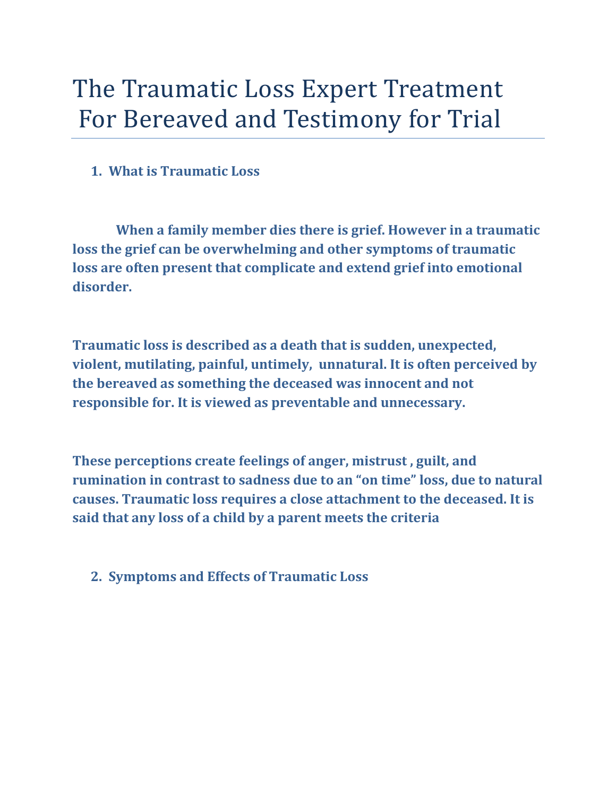## The Traumatic Loss Expert Treatment For Bereaved and Testimony for Trial

## **1. What is Traumatic Loss**

 **When a family member dies there is grief. However in a traumatic loss the grief can be overwhelming and other symptoms of traumatic loss are often present that complicate and extend grief into emotional disorder.**

**Traumatic loss is described as a death that is sudden, unexpected, violent, mutilating, painful, untimely, unnatural. It is often perceived by the bereaved as something the deceased was innocent and not responsible for. It is viewed as preventable and unnecessary.**

**These perceptions create feelings of anger, mistrust , guilt, and rumination in contrast to sadness due to an "on time" loss, due to natural causes. Traumatic loss requires a close attachment to the deceased. It is said that any loss of a child by a parent meets the criteria**

## **2. Symptoms and Effects of Traumatic Loss**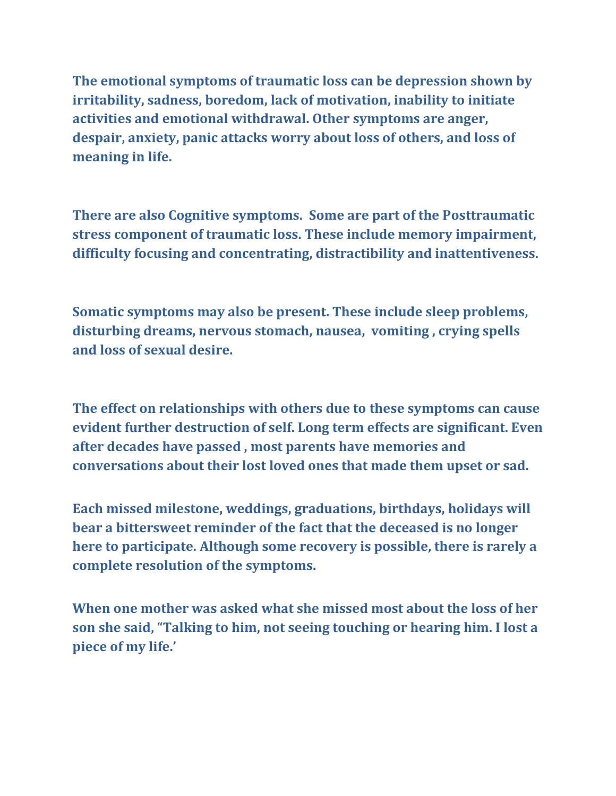**The emotional symptoms of traumatic loss can be depression shown by irritability, sadness, boredom, lack of motivation, inability to initiate activities and emotional withdrawal. Other symptoms are anger, despair, anxiety, panic attacks worry about loss of others, and loss of meaning in life.**

**There are also Cognitive symptoms. Some are part of the Posttraumatic stress component of traumatic loss. These include memory impairment, difficulty focusing and concentrating, distractibility and inattentiveness.**

**Somatic symptoms may also be present. These include sleep problems, disturbing dreams, nervous stomach, nausea, vomiting , crying spells and loss of sexual desire.**

**The effect on relationships with others due to these symptoms can cause evident further destruction of self. Long term effects are significant. Even after decades have passed , most parents have memories and conversations about their lost loved ones that made them upset or sad.**

**Each missed milestone, weddings, graduations, birthdays, holidays will bear a bittersweet reminder of the fact that the deceased is no longer here to participate. Although some recovery is possible, there is rarely a complete resolution of the symptoms.**

**When one mother was asked what she missed most about the loss of her son she said, "Talking to him, not seeing touching or hearing him. I lost a piece of my life.'**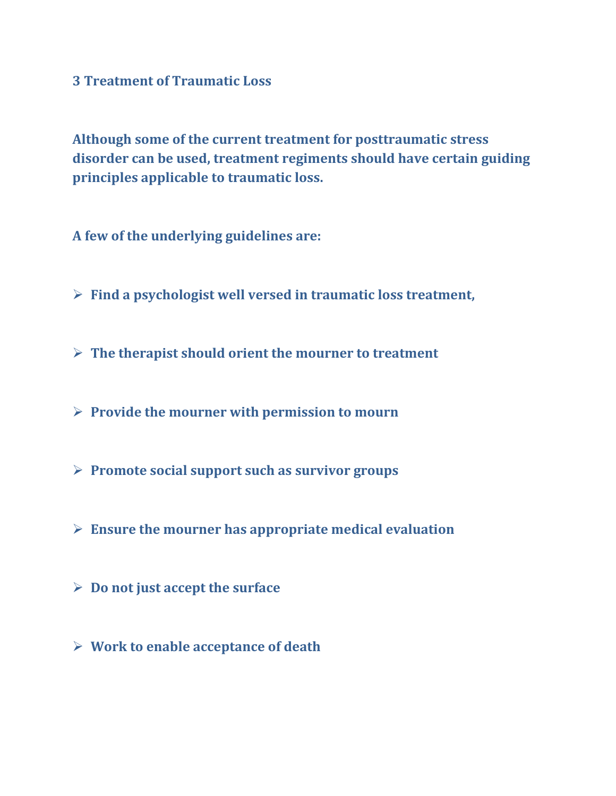**3 Treatment of Traumatic Loss**

**Although some of the current treatment for posttraumatic stress disorder can be used, treatment regiments should have certain guiding principles applicable to traumatic loss.**

**A few of the underlying guidelines are:**

- **Find a psychologist well versed in traumatic loss treatment,**
- **The therapist should orient the mourner to treatment**
- **Provide the mourner with permission to mourn**
- **Promote social support such as survivor groups**
- **Ensure the mourner has appropriate medical evaluation**
- **Do not just accept the surface**
- **Work to enable acceptance of death**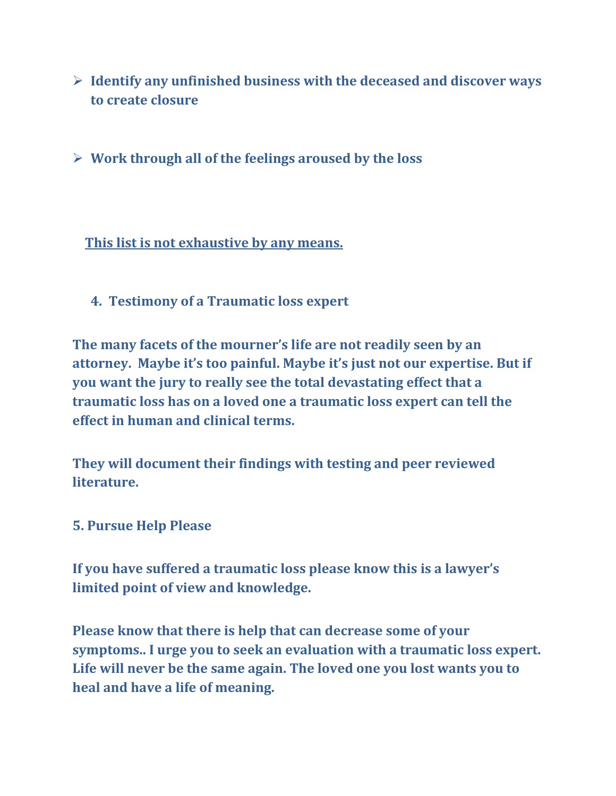- **Identify any unfinished business with the deceased and discover ways to create closure**
- **Work through all of the feelings aroused by the loss**

**This list is not exhaustive by any means.**

**4. Testimony of a Traumatic loss expert**

**The many facets of the mourner's life are not readily seen by an attorney. Maybe it's too painful. Maybe it's just not our expertise. But if you want the jury to really see the total devastating effect that a traumatic loss has on a loved one a traumatic loss expert can tell the effect in human and clinical terms.**

**They will document their findings with testing and peer reviewed literature.**

**5. Pursue Help Please**

**If you have suffered a traumatic loss please know this is a lawyer's limited point of view and knowledge.** 

**Please know that there is help that can decrease some of your symptoms.. I urge you to seek an evaluation with a traumatic loss expert. Life will never be the same again. The loved one you lost wants you to heal and have a life of meaning.**